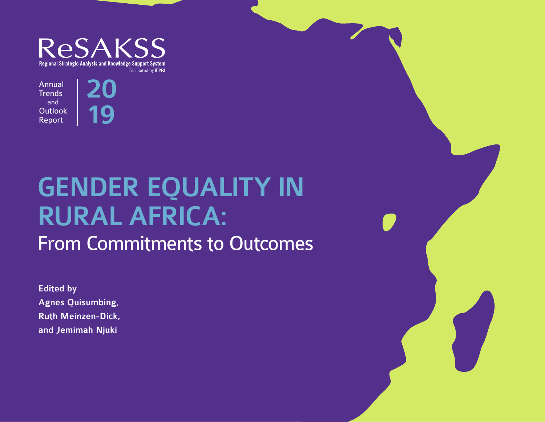

20

Annual **Trends** and **Outlook** Report

# 19

# GENDER EQUALITY IN RURAL AFRICA: From Commitments to Outcomes

**Edited by** Agnes Quisumbing, Ruth Meinzen-Dick, and Jemimah Njuki

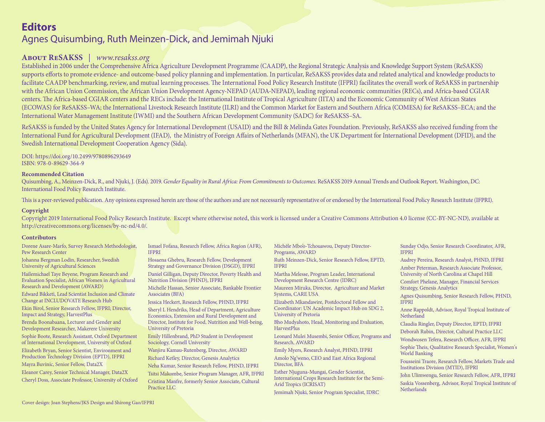# **Editors** Agnes Quisumbing, Ruth Meinzen-Dick, and Jemimah Njuki

#### **About ReSAKSS** | *www.resakss.org*

Established in 2006 under the Comprehensive Africa Agriculture Development Programme (CAADP), the Regional Strategic Analysis and Knowledge Support System (ReSAKSS) supports efforts to promote evidence- and outcome-based policy planning and implementation. In particular, ReSAKSS provides data and related analytical and knowledge products to facilitate CAADP benchmarking, review, and mutual learning processes. The International Food Policy Research Institute (IFPRI) facilitates the overall work of ReSAKSS in partnership with the African Union Commission, the African Union Development Agency-NEPAD (AUDA-NEPAD), leading regional economic communities (RECs), and Africa-based CGIAR centers. The Africa-based CGIAR centers and the RECs include: the International Institute of Tropical Agriculture (IITA) and the Economic Community of West African States (ECOWAS) for ReSAKSS–WA; the International Livestock Research Institute (ILRI) and the Common Market for Eastern and Southern Africa (COMESA) for ReSAKSS–ECA; and the International Water Management Institute (IWMI) and the Southern African Development Community (SADC) for ReSAKSS–SA.

ReSAKSS is funded by the United States Agency for International Development (USAID) and the Bill & Melinda Gates Foundation. Previously, ReSAKSS also received funding from the International Fund for Agricultural Development (IFAD), the Ministry of Foreign Afairs of Netherlands (MFAN), the UK Department for International Development (DFID), and the Swedish International Development Cooperation Agency (Sida).

DOI: https://doi.org/10.2499/9780896293649 ISBN: 978-0-89629-364-9

#### **Recommended Citation**

Quisumbing, A., Meinzen-Dick, R., and Njuki, J. (Eds). 2019. *Gender Equality in Rural Africa: From Commitments to Outcomes*. ReSAKSS 2019 Annual Trends and Outlook Report. Washington, DC: International Food Policy Research Institute.

This is a peer-reviewed publication. Any opinions expressed herein are those of the authors and are not necessarily representative of or endorsed by the International Food Policy Research Institute (IFPRI).

#### **Copyright**

Copyright 2019 International Food Policy Research Institute. Except where otherwise noted, this work is licensed under a Creative Commons Attribution 4.0 license (CC-BY-NC-ND), available at http://creativecommons.org/licenses/by-nc-nd/4.0/.

#### **Contributors**

Dorene Asare-Marfo, Survey Research Methodologist, Pew Research Center

Johanna Bergman Lodin, Researcher, Swedish University of Agricultural Sciences

Hailemichael Taye Beyene, Program Research and Evaluation Specialist, African Women in Agricultural Research and Development (AWARD)

Edward Bikketi, Lead Scientist Inclusion and Climate Change at INCLUDOVATE Research Hub Ekin Birol, Senior Research Fellow, IFPRI; Director, Impact and Strategy, HarvestPlus

Brenda Boonabaana, Lecturer and Gender and Development Researcher, Makerere University

Sophie Boote, Research Assistant, Oxford Department of International Development, University of Oxford Elizabeth Bryan, Senior Scientist, Environment and Production Technology Division (EPTD), IFPRI Mayra Buvinic, Senior Fellow, Data2X Eleanor Carey, Senior Technical Manager, Data2X

Cheryl Doss, Associate Professor, University of Oxford

Ismael Fofana, Research Fellow, Africa Region (AFR), IFPRI

Hosaena Ghebru, Research Fellow, Development Strategy and Governance Division (DSGD), IFPRI

Daniel Gilligan, Deputy Director, Poverty Health and Nutrition Division (PHND), IFPRI

Michelle Hassan, Senior Associate, Bankable Frontier Associates (BFA)

Jessica Heckert, Research Fellow, PHND, IFPRI

Sheryl L Hendriks, Head of Department, Agriculture Economics, Extension and Rural Development and Director, Institute for Food, Nutrition and Well-being, University of Pretoria

Emily Hillenbrand, PhD Student in Development Sociology, Cornell University

Wanjiru Kamau-Rutenberg, Director, AWARD

Richard Ketley, Director, Genesis Analytics

Neha Kumar, Senior Research Fellow, PHND, IFPRI

Tsitsi Makombe, Senior Program Manager, AFR, IFPRI Cristina Manfre, formerly Senior Associate, Cultural Practice LLC

Michèle Mbo'o-Tchouawou, Deputy Director-Programs, AWARD

Ruth Meinzen-Dick, Senior Research Fellow, EPTD, IFPRI

Martha Melesse, Program Leader, International Development Research Centre (IDRC)

Maureen Miruka, Director, Agriculture and Market Systems, CARE USA

Elizabeth Mkandawire, Postdoctoral Fellow and Coordinator: UN Academic Impact Hub on SDG 2, University of Pretoria

Bho Mudyahoto, Head, Monitoring and Evaluation, HarvestPlus

Leonard Mulei Musembi, Senior Officer, Programs and Research, AWARD

Emily Myers, Research Analyst, PHND, IFPRI

Amolo Ng'weno, CEO and East Africa Regional Director, BFA

Esther Njuguna-Mungai, Gender Scientist, International Crops Research Institute for the Semi-Arid Tropics (ICRISAT)

Jemimah Njuki, Senior Program Specialist, IDRC

Sunday Odjo, Senior Research Coordinator, AFR, IFPRI

Audrey Pereira, Research Analyst, PHND, IFPRI Amber Peterman, Research Associate Professor, University of North Carolina at Chapel Hill Comfort Phelane, Manager, Financial Services

Strategy, Genesis Analytics

Agnes Quisumbing, Senior Research Fellow, PHND, IFPRI

Anne Rappoldt, Advisor, Royal Tropical Institute of Netherland

Claudia Ringler, Deputy Director, EPTD, IFPRI

Deborah Rubin, Director, Cultural Practice LLC

Wondwosen Tefera, Research Officer, AFR, IFPRI

Sophie Theis, Qualitative Research Specialist, Women's World Banking

Fousseini Traore, Research Fellow, Markets Trade and Institutions Division (MTID), IFPRI

John Ulimwengu, Senior Research Fellow, AFR, IFPRI Saskia Vossenberg, Advisor, Royal Tropical Institute of **Netherlands**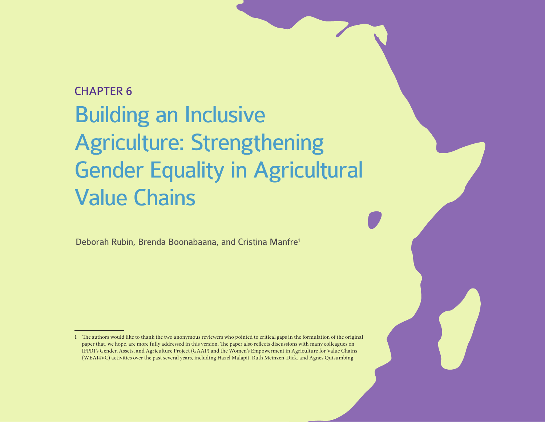# CHAPTER 6 Building an Inclusive Agriculture: Strengthening Gender Equality in Agricultural Value Chains

Deborah Rubin, Brenda Boonabaana, and Cristina Manfre1

<sup>1</sup> The authors would like to thank the two anonymous reviewers who pointed to critical gaps in the formulation of the original paper that, we hope, are more fully addressed in this version. The paper also reflects discussions with many colleagues on IFPRI's Gender, Assets, and Agriculture Project (GAAP) and the Women's Empowerment in Agriculture for Value Chains (WEAI4VC) activities over the past several years, including Hazel Malapit, Ruth Meinzen-Dick, and Agnes Quisumbing.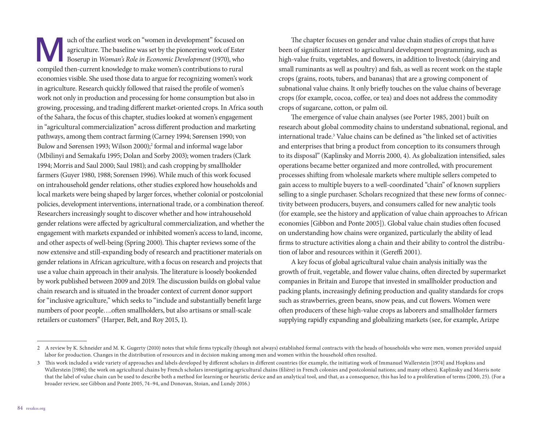uch of the earliest work on "women in development" focused on<br>agriculture. The baseline was set by the pioneering work of Ester<br>Boserup in *Woman's Role in Economic Development* (1970), who<br>compiled then current knowledge agriculture. The baseline was set by the pioneering work of Ester Boserup in *Woman's Role in Economic Development* (1970), who compiled then-current knowledge to make women's contributions to rural economies visible. She used those data to argue for recognizing women's work in agriculture. Research quickly followed that raised the profle of women's work not only in production and processing for home consumption but also in growing, processing, and trading diferent market-oriented crops. In Africa south of the Sahara, the focus of this chapter, studies looked at women's engagement in "agricultural commercialization" across diferent production and marketing pathways, among them contract farming (Carney 1994; Sørensen 1990; von Bulow and Sørensen 1993; Wilson 2000);<sup>2</sup> formal and informal wage labor (Mbilinyi and Semakafu 1995; Dolan and Sorby 2003); women traders (Clark 1994; Morris and Saul 2000; Saul 1981); and cash cropping by smallholder farmers (Guyer 1980, 1988; Sorensen 1996). While much of this work focused on intrahousehold gender relations, other studies explored how households and local markets were being shaped by larger forces, whether colonial or postcolonial policies, development interventions, international trade, or a combination thereof. Researchers increasingly sought to discover whether and how intrahousehold gender relations were afected by agricultural commercialization, and whether the engagement with markets expanded or inhibited women's access to land, income, and other aspects of well-being (Spring 2000). This chapter reviews some of the now extensive and still-expanding body of research and practitioner materials on gender relations in African agriculture, with a focus on research and projects that use a value chain approach in their analysis. The literature is loosely bookended by work published between 2009 and 2019. The discussion builds on global value chain research and is situated in the broader context of current donor support for "inclusive agriculture," which seeks to "include and substantially beneft large numbers of poor people....often smallholders, but also artisans or small-scale retailers or customers" (Harper, Belt, and Roy 2015, 1).

The chapter focuses on gender and value chain studies of crops that have been of signifcant interest to agricultural development programming, such as high-value fruits, vegetables, and flowers, in addition to livestock (dairying and small ruminants as well as poultry) and fish, as well as recent work on the staple crops (grains, roots, tubers, and bananas) that are a growing component of subnational value chains. It only briefy touches on the value chains of beverage crops (for example, cocoa, cofee, or tea) and does not address the commodity crops of sugarcane, cotton, or palm oil.

The emergence of value chain analyses (see Porter 1985, 2001) built on research about global commodity chains to understand subnational, regional, and international trade.<sup>3</sup> Value chains can be defined as "the linked set of activities and enterprises that bring a product from conception to its consumers through to its disposal" (Kaplinsky and Morris 2000, 4). As globalization intensifed, sales operations became better organized and more controlled, with procurement processes shifing from wholesale markets where multiple sellers competed to gain access to multiple buyers to a well-coordinated "chain" of known suppliers selling to a single purchaser. Scholars recognized that these new forms of connectivity between producers, buyers, and consumers called for new analytic tools (for example, see the history and application of value chain approaches to African economies [Gibbon and Ponte 2005]). Global value chain studies ofen focused on understanding how chains were organized, particularly the ability of lead frms to structure activities along a chain and their ability to control the distribution of labor and resources within it (Gereffi 2001).

A key focus of global agricultural value chain analysis initially was the growth of fruit, vegetable, and fower value chains, ofen directed by supermarket companies in Britain and Europe that invested in smallholder production and packing plants, increasingly defning production and quality standards for crops such as strawberries, green beans, snow peas, and cut flowers. Women were ofen producers of these high-value crops as laborers and smallholder farmers supplying rapidly expanding and globalizing markets (see, for example, Arizpe

<sup>2</sup> A review by K. Schneider and M. K. Gugerty (2010) notes that while frms typically (though not always) established formal contracts with the heads of households who were men, women provided unpaid labor for production. Changes in the distribution of resources and in decision making among men and women within the household ofen resulted.

<sup>3</sup> Tis work included a wide variety of approaches and labels developed by diferent scholars in diferent countries (for example, the initiating work of Immanuel Wallerstein [1974] and Hopkins and Wallerstein [1986]; the work on agricultural chains by French scholars investigating agricultural chains (flière) in French colonies and postcolonial nations; and many others). Kaplinsky and Morris note that the label of value chain can be used to describe both a method for learning or heuristic device and an analytical tool, and that, as a consequence, this has led to a proliferation of terms (2000, 25). (For a broader review, see Gibbon and Ponte 2005, 74–94, and Donovan, Stoian, and Lundy 2016.)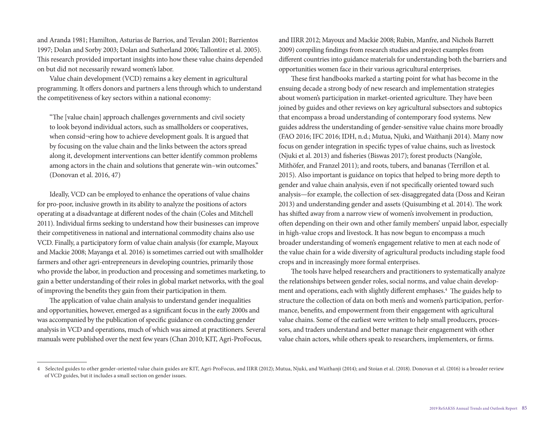and Aranda 1981; Hamilton, Asturias de Barrios, and Tevalan 2001; Barrientos 1997; Dolan and Sorby 2003; Dolan and Sutherland 2006; Tallontire et al. 2005). This research provided important insights into how these value chains depended on but did not necessarily reward women's labor.

Value chain development (VCD) remains a key element in agricultural programming. It offers donors and partners a lens through which to understand the competitiveness of key sectors within a national economy:

"The [value chain] approach challenges governments and civil society to look beyond individual actors, such as smallholders or cooperatives, when consid¬ering how to achieve development goals. It is argued that by focusing on the value chain and the links between the actors spread along it, development interventions can better identify common problems among actors in the chain and solutions that generate win–win outcomes." (Donovan et al. 2016, 47)

Ideally, VCD can be employed to enhance the operations of value chains for pro-poor, inclusive growth in its ability to analyze the positions of actors operating at a disadvantage at diferent nodes of the chain (Coles and Mitchell 2011). Individual frms seeking to understand how their businesses can improve their competitiveness in national and international commodity chains also use VCD. Finally, a participatory form of value chain analysis (for example, Mayoux and Mackie 2008; Mayanga et al. 2016) is sometimes carried out with smallholder farmers and other agri-entrepreneurs in developing countries, primarily those who provide the labor, in production and processing and sometimes marketing, to gain a better understanding of their roles in global market networks, with the goal of improving the benefts they gain from their participation in them.

The application of value chain analysis to understand gender inequalities and opportunities, however, emerged as a signifcant focus in the early 2000s and was accompanied by the publication of specifc guidance on conducting gender analysis in VCD and operations, much of which was aimed at practitioners. Several manuals were published over the next few years (Chan 2010; KIT, Agri-ProFocus,

and IIRR 2012; Mayoux and Mackie 2008; Rubin, Manfre, and Nichols Barrett 2009) compiling fndings from research studies and project examples from diferent countries into guidance materials for understanding both the barriers and opportunities women face in their various agricultural enterprises.

These first handbooks marked a starting point for what has become in the ensuing decade a strong body of new research and implementation strategies about women's participation in market-oriented agriculture. They have been joined by guides and other reviews on key agricultural subsectors and subtopics that encompass a broad understanding of contemporary food systems. New guides address the understanding of gender-sensitive value chains more broadly (FAO 2016; IFC 2016; IDH, n.d.; Mutua, Njuki, and Waithanji 2014). Many now focus on gender integration in specifc types of value chains, such as livestock (Njuki et al. 2013) and fsheries (Biswas 2017); forest products (Nang'ole, Mithöfer, and Franzel 2011); and roots, tubers, and bananas (Terrillon et al. 2015). Also important is guidance on topics that helped to bring more depth to gender and value chain analysis, even if not specifcally oriented toward such analysis—for example, the collection of sex-disaggregated data (Doss and Keiran 2013) and understanding gender and assets (Quisumbing et al. 2014). The work has shifed away from a narrow view of women's involvement in production, ofen depending on their own and other family members' unpaid labor, especially in high-value crops and livestock. It has now begun to encompass a much broader understanding of women's engagement relative to men at each node of the value chain for a wide diversity of agricultural products including staple food crops and in increasingly more formal enterprises.

The tools have helped researchers and practitioners to systematically analyze the relationships between gender roles, social norms, and value chain development and operations, each with slightly different emphases.<sup>4</sup> The guides help to structure the collection of data on both men's and women's participation, performance, benefts, and empowerment from their engagement with agricultural value chains. Some of the earliest were written to help small producers, processors, and traders understand and better manage their engagement with other value chain actors, while others speak to researchers, implementers, or frms.

<sup>4</sup> Selected guides to other gender-oriented value chain guides are KIT, Agri-ProFocus, and IIRR (2012); Mutua, Njuki, and Waithanji (2014); and Stoian et al. (2018). Donovan et al. (2016) is a broader review of VCD guides, but it includes a small section on gender issues.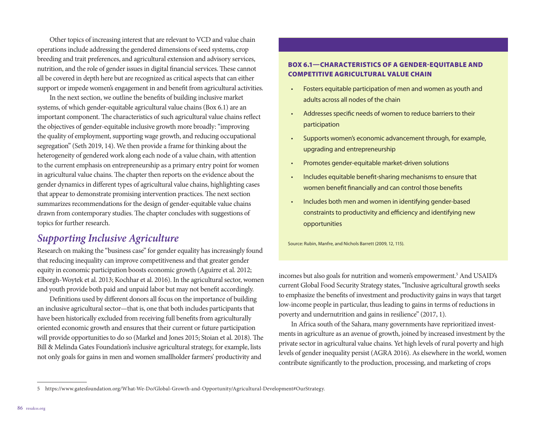Other topics of increasing interest that are relevant to VCD and value chain operations include addressing the gendered dimensions of seed systems, crop breeding and trait preferences, and agricultural extension and advisory services, nutrition, and the role of gender issues in digital financial services. These cannot all be covered in depth here but are recognized as critical aspects that can either support or impede women's engagement in and beneft from agricultural activities.

In the next section, we outline the benefts of building inclusive market systems, of which gender-equitable agricultural value chains (Box 6.1) are an important component. The characteristics of such agricultural value chains reflect the objectives of gender-equitable inclusive growth more broadly: "improving the quality of employment, supporting wage growth, and reducing occupational segregation" (Seth 2019, 14). We then provide a frame for thinking about the heterogeneity of gendered work along each node of a value chain, with attention to the current emphasis on entrepreneurship as a primary entry point for women in agricultural value chains. The chapter then reports on the evidence about the gender dynamics in diferent types of agricultural value chains, highlighting cases that appear to demonstrate promising intervention practices. The next section summarizes recommendations for the design of gender-equitable value chains drawn from contemporary studies. The chapter concludes with suggestions of topics for further research.

## *Supporting Inclusive Agriculture*

Research on making the "business case" for gender equality has increasingly found that reducing inequality can improve competitiveness and that greater gender equity in economic participation boosts economic growth (Aguirre et al. 2012; Elborgh-Woytek et al. 2013; Kochhar et al. 2016). In the agricultural sector, women and youth provide both paid and unpaid labor but may not beneft accordingly.

Defnitions used by diferent donors all focus on the importance of building an inclusive agricultural sector—that is, one that both includes participants that have been historically excluded from receiving full benefts from agriculturally oriented economic growth and ensures that their current or future participation will provide opportunities to do so (Markel and Jones 2015; Stoian et al. 2018). The Bill & Melinda Gates Foundation's inclusive agricultural strategy, for example, lists not only goals for gains in men and women smallholder farmers' productivity and

#### BOX 6.1—CHARACTERISTICS OF A GENDER-EQUITABLE AND COMPETITIVE AGRICULTURAL VALUE CHAIN

- Fosters equitable participation of men and women as youth and adults across all nodes of the chain
- Addresses specific needs of women to reduce barriers to their participation
- Supports women's economic advancement through, for example, upgrading and entrepreneurship
- Promotes gender-equitable market-driven solutions
- Includes equitable beneft-sharing mechanisms to ensure that women beneft fnancially and can control those benefts
- Includes both men and women in identifying gender-based constraints to productivity and efficiency and identifying new opportunities

Source: Rubin, Manfre, and Nichols Barrett (2009, 12, 115).

incomes but also goals for nutrition and women's empowerment.5 And USAID's current Global Food Security Strategy states, "Inclusive agricultural growth seeks to emphasize the benefts of investment and productivity gains in ways that target low-income people in particular, thus leading to gains in terms of reductions in poverty and undernutrition and gains in resilience" (2017, 1).

In Africa south of the Sahara, many governments have reprioritized investments in agriculture as an avenue of growth, joined by increased investment by the private sector in agricultural value chains. Yet high levels of rural poverty and high levels of gender inequality persist (AGRA 2016). As elsewhere in the world, women contribute signifcantly to the production, processing, and marketing of crops

<sup>5</sup> [https://www.gatesfoundation.org/What-We-Do/Global-Growth-and-Opportunity/Agricultural-Development#OurStrategy.](https://www.gatesfoundation.org/What-We-Do/Global-Growth-and-Opportunity/Agricultural-Development#OurStrategy)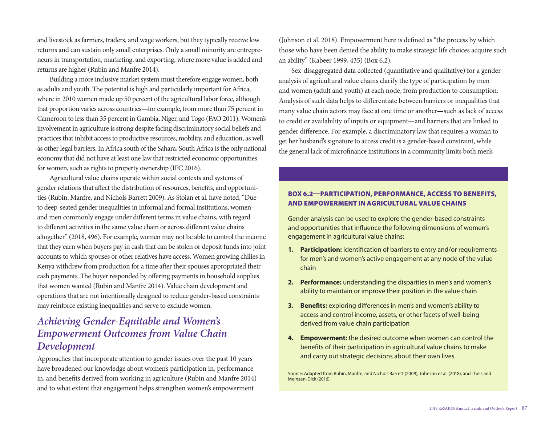and livestock as farmers, traders, and wage workers, but they typically receive low returns and can sustain only small enterprises. Only a small minority are entrepreneurs in transportation, marketing, and exporting, where more value is added and returns are higher (Rubin and Manfre 2014).

Building a more inclusive market system must therefore engage women, both as adults and youth. The potential is high and particularly important for Africa, where in 2010 women made up 50 percent of the agricultural labor force, although that proportion varies across countries—for example, from more than 75 percent in Cameroon to less than 35 percent in Gambia, Niger, and Togo (FAO 2011). Women's involvement in agriculture is strong despite facing discriminatory social beliefs and practices that inhibit access to productive resources, mobility, and education, as well as other legal barriers. In Africa south of the Sahara, South Africa is the only national economy that did not have at least one law that restricted economic opportunities for women, such as rights to property ownership (IFC 2016).

Agricultural value chains operate within social contexts and systems of gender relations that afect the distribution of resources, benefts, and opportunities (Rubin, Manfre, and Nichols Barrett 2009). As Stoian et al. have noted, "Due to deep-seated gender inequalities in informal and formal institutions, women and men commonly engage under diferent terms in value chains, with regard to diferent activities in the same value chain or across diferent value chains altogether" (2018, 496). For example, women may not be able to control the income that they earn when buyers pay in cash that can be stolen or deposit funds into joint accounts to which spouses or other relatives have access. Women growing chilies in Kenya withdrew from production for a time afer their spouses appropriated their cash payments. The buyer responded by offering payments in household supplies that women wanted (Rubin and Manfre 2014). Value chain development and operations that are not intentionally designed to reduce gender-based constraints may reinforce existing inequalities and serve to exclude women.

# *Achieving Gender-Equitable and Women's Empowerment Outcomes from Value Chain Development*

Approaches that incorporate attention to gender issues over the past 10 years have broadened our knowledge about women's participation in, performance in, and benefts derived from working in agriculture (Rubin and Manfre 2014) and to what extent that engagement helps strengthen women's empowerment

(Johnson et al. 2018). Empowerment here is defned as "the process by which those who have been denied the ability to make strategic life choices acquire such an ability" (Kabeer 1999, 435) (Box 6.2).

Sex-disaggregated data collected (quantitative and qualitative) for a gender analysis of agricultural value chains clarify the type of participation by men and women (adult and youth) at each node, from production to consumption. Analysis of such data helps to diferentiate between barriers or inequalities that many value chain actors may face at one time or another—such as lack of access to credit or availability of inputs or equipment—and barriers that are linked to gender diference. For example, a discriminatory law that requires a woman to get her husband's signature to access credit is a gender-based constraint, while the general lack of microfnance institutions in a community limits both men's

#### BOX 6.2—PARTICIPATION, PERFORMANCE, ACCESS TO BENEFITS, AND EMPOWERMENT IN AGRICULTURAL VALUE CHAINS

Gender analysis can be used to explore the gender-based constraints and opportunities that infuence the following dimensions of women's engagement in agricultural value chains:

- **1. Participation:** identifcation of barriers to entry and/or requirements for men's and women's active engagement at any node of the value chain
- **2. Performance:** understanding the disparities in men's and women's ability to maintain or improve their position in the value chain
- **3. Benefts:** exploring diferences in men's and women's ability to access and control income, assets, or other facets of well-being derived from value chain participation
- **4. Empowerment:** the desired outcome when women can control the benefts of their participation in agricultural value chains to make and carry out strategic decisions about their own lives

Source: Adapted from Rubin, Manfre, and Nichols Barrett (2009), Johnson et al. (2018), and Theis and Meinzen-Dick (2016).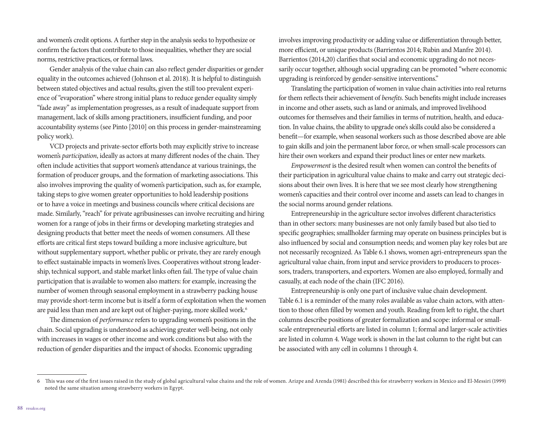and women's credit options. A further step in the analysis seeks to hypothesize or confrm the factors that contribute to those inequalities, whether they are social norms, restrictive practices, or formal laws.

Gender analysis of the value chain can also refect gender disparities or gender equality in the outcomes achieved (Johnson et al. 2018). It is helpful to distinguish between stated objectives and actual results, given the still too prevalent experience of "evaporation" where strong initial plans to reduce gender equality simply "fade away" as implementation progresses, as a result of inadequate support from management, lack of skills among practitioners, insufficient funding, and poor accountability systems (see Pinto [2010] on this process in gender-mainstreaming policy work).

VCD projects and private-sector efforts both may explicitly strive to increase women's *participation*, ideally as actors at many different nodes of the chain. They ofen include activities that support women's attendance at various trainings, the formation of producer groups, and the formation of marketing associations. This also involves improving the quality of women's participation, such as, for example, taking steps to give women greater opportunities to hold leadership positions or to have a voice in meetings and business councils where critical decisions are made. Similarly, "reach" for private agribusinesses can involve recruiting and hiring women for a range of jobs in their frms or developing marketing strategies and designing products that better meet the needs of women consumers. All these eforts are critical frst steps toward building a more inclusive agriculture, but without supplementary support, whether public or private, they are rarely enough to effect sustainable impacts in women's lives. Cooperatives without strong leadership, technical support, and stable market links often fail. The type of value chain participation that is available to women also matters: for example, increasing the number of women through seasonal employment in a strawberry packing house may provide short-term income but is itself a form of exploitation when the women are paid less than men and are kept out of higher-paying, more skilled work.<sup>6</sup>

The dimension of *performance* refers to upgrading women's positions in the chain. Social upgrading is understood as achieving greater well-being, not only with increases in wages or other income and work conditions but also with the reduction of gender disparities and the impact of shocks. Economic upgrading

involves improving productivity or adding value or diferentiation through better, more efficient, or unique products (Barrientos 2014; Rubin and Manfre 2014). Barrientos (2014,20) clarifes that social and economic upgrading do not necessarily occur together, although social upgrading can be promoted "where economic upgrading is reinforced by gender-sensitive interventions."

Translating the participation of women in value chain activities into real returns for them refects their achievement of *bene*f*ts*. Such benefts might include increases in income and other assets, such as land or animals, and improved livelihood outcomes for themselves and their families in terms of nutrition, health, and education. In value chains, the ability to upgrade one's skills could also be considered a beneft—for example, when seasonal workers such as those described above are able to gain skills and join the permanent labor force, or when small-scale processors can hire their own workers and expand their product lines or enter new markets.

*Empowerment* is the desired result when women can control the benefts of their participation in agricultural value chains to make and carry out strategic decisions about their own lives. It is here that we see most clearly how strengthening women's capacities and their control over income and assets can lead to changes in the social norms around gender relations.

Entrepreneurship in the agriculture sector involves diferent characteristics than in other sectors: many businesses are not only family based but also tied to specifc geographies; smallholder farming may operate on business principles but is also infuenced by social and consumption needs; and women play key roles but are not necessarily recognized. As Table 6.1 shows, women agri-entrepreneurs span the agricultural value chain, from input and service providers to producers to processors, traders, transporters, and exporters. Women are also employed, formally and casually, at each node of the chain (IFC 2016).

Entrepreneurship is only one part of inclusive value chain development. Table 6.1 is a reminder of the many roles available as value chain actors, with attention to those often filled by women and youth. Reading from left to right, the chart columns describe positions of greater formalization and scope: informal or smallscale entrepreneurial efforts are listed in column 1; formal and larger-scale activities are listed in column 4. Wage work is shown in the last column to the right but can be associated with any cell in columns 1 through 4.

<sup>6</sup> Tis was one of the frst issues raised in the study of global agricultural value chains and the role of women. Arizpe and Arenda (1981) described this for strawberry workers in Mexico and El-Messiri (1999) noted the same situation among strawberry workers in Egypt.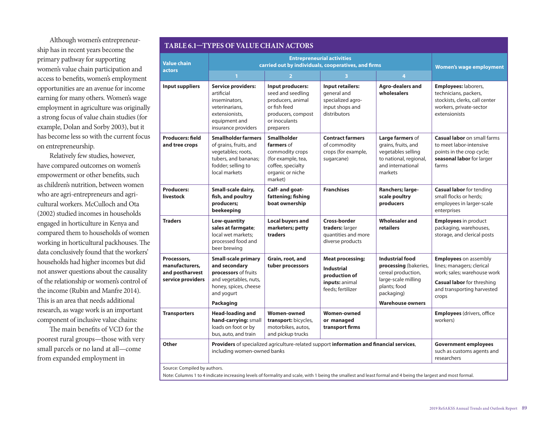Although women's entrepreneurship has in recent years become the primary pathway for supporting women's value chain participation and access to benefts, women's employment opportunities are an avenue for income earning for many others. Women's wage employment in agriculture was originally a strong focus of value chain studies (for example, Dolan and Sorby 2003), but it has become less so with the current focus on entrepreneurship.

Relatively few studies, however, have compared outcomes on women's empowerment or other benefts, such as children's nutrition, between women who are agri-entrepreneurs and agricultural workers. McCulloch and Ota (2002) studied incomes in households engaged in horticulture in Kenya and compared them to households of women working in horticultural packhouses. The data conclusively found that the workers' households had higher incomes but did not answer questions about the causality of the relationship or women's control of the income (Rubin and Manfre 2014). This is an area that needs additional research, as wage work is an important component of inclusive value chains:

The main benefits of VCD for the poorest rural groups—those with very small parcels or no land at all—come from expanded employment in

| <b>TABLE 6.1-TYPES OF VALUE CHAIN ACTORS</b>                          |                                                                                                                                                         |                                                                                                                                |                                                                                                      |                                                                                                                                                       |                                                                                                                                                                      |
|-----------------------------------------------------------------------|---------------------------------------------------------------------------------------------------------------------------------------------------------|--------------------------------------------------------------------------------------------------------------------------------|------------------------------------------------------------------------------------------------------|-------------------------------------------------------------------------------------------------------------------------------------------------------|----------------------------------------------------------------------------------------------------------------------------------------------------------------------|
| <b>Value chain</b><br>actors                                          | <b>Entrepreneurial activities</b><br>carried out by individuals, cooperatives, and firms                                                                |                                                                                                                                |                                                                                                      |                                                                                                                                                       | <b>Women's wage employment</b>                                                                                                                                       |
|                                                                       | $\mathbf{1}$                                                                                                                                            | $\overline{2}$                                                                                                                 | 3                                                                                                    | 4                                                                                                                                                     |                                                                                                                                                                      |
| <b>Input suppliers</b>                                                | <b>Service providers:</b><br>artificial<br>inseminators,<br>veterinarians,<br>extensionists,<br>equipment and<br>insurance providers                    | Input producers:<br>seed and seedling<br>producers, animal<br>or fish feed<br>producers, compost<br>or inoculants<br>preparers | <b>Input retailers:</b><br>general and<br>specialized agro-<br>input shops and<br>distributors       | <b>Agro-dealers and</b><br>wholesalers                                                                                                                | Employees: laborers,<br>technicians, packers,<br>stockists, clerks, call center<br>workers, private-sector<br>extensionists                                          |
| <b>Producers: field</b><br>and tree crops                             | <b>Smallholder farmers</b><br>of grains, fruits, and<br>vegetables; roots,<br>tubers, and bananas;<br>fodder; selling to<br>local markets               | <b>Smallholder</b><br>farmers of<br>commodity crops<br>(for example, tea,<br>coffee, specialty<br>organic or niche<br>market)  | <b>Contract farmers</b><br>of commodity<br>crops (for example,<br>sugarcane)                         | Large farmers of<br>grains, fruits, and<br>vegetables selling<br>to national, regional,<br>and international<br>markets                               | <b>Casual labor</b> on small farms<br>to meet labor-intensive<br>points in the crop cycle;<br>seasonal labor for larger<br>farms                                     |
| <b>Producers:</b><br>livestock                                        | Small-scale dairy,<br>fish, and poultry<br>producers;<br>beekeeping                                                                                     | Calf- and goat-<br>fattening; fishing<br>boat ownership                                                                        | <b>Franchises</b>                                                                                    | Ranchers; large-<br>scale poultry<br>producers                                                                                                        | <b>Casual labor</b> for tending<br>small flocks or herds;<br>employees in larger-scale<br>enterprises                                                                |
| <b>Traders</b>                                                        | Low-quantity<br>sales at farmgate;<br>local wet markets:<br>processed food and<br>beer brewing                                                          | <b>Local buyers and</b><br>marketers; petty<br>traders                                                                         | Cross-border<br>traders: larger<br>quantities and more<br>diverse products                           | <b>Wholesaler and</b><br>retailers                                                                                                                    | <b>Employees</b> in product<br>packaging, warehouses,<br>storage, and clerical posts                                                                                 |
| Processors,<br>manufacturers,<br>and postharvest<br>service providers | <b>Small-scale primary</b><br>and secondary<br>processors of fruits<br>and vegetables, nuts,<br>honey, spices, cheese<br>and yogurt<br><b>Packaging</b> | Grain, root, and<br>tuber processors                                                                                           | <b>Meat processing;</b><br><b>Industrial</b><br>production of<br>inputs: animal<br>feeds; fertilizer | <b>Industrial food</b><br>processing (bakeries,<br>cereal production,<br>large-scale milling<br>plants; food<br>packaging)<br><b>Warehouse owners</b> | <b>Employees</b> on assembly<br>lines; managers; clerical<br>work: sales: warehouse work<br><b>Casual labor</b> for threshing<br>and transporting harvested<br>crops |
| <b>Transporters</b>                                                   | <b>Head-loading and</b><br>hand-carrying: small<br>loads on foot or by<br>bus, auto, and train                                                          | <b>Women-owned</b><br>transport: bicycles,<br>motorbikes, autos,<br>and pickup trucks                                          | <b>Women-owned</b><br>or managed<br>transport firms                                                  |                                                                                                                                                       | <b>Employees</b> (drivers, office<br>workers)                                                                                                                        |
| Other                                                                 | Providers of specialized agriculture-related support information and financial services,<br>including women-owned banks                                 |                                                                                                                                |                                                                                                      |                                                                                                                                                       | <b>Government employees</b><br>such as customs agents and<br>researchers                                                                                             |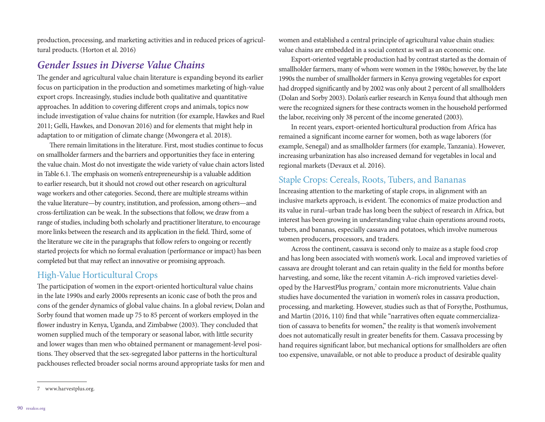production, processing, and marketing activities and in reduced prices of agricultural products. (Horton et al. 2016)

#### *Gender Issues in Diverse Value Chains*

The gender and agricultural value chain literature is expanding beyond its earlier focus on participation in the production and sometimes marketing of high-value export crops. Increasingly, studies include both qualitative and quantitative approaches. In addition to covering diferent crops and animals, topics now include investigation of value chains for nutrition (for example, Hawkes and Ruel 2011; Gelli, Hawkes, and Donovan 2016) and for elements that might help in adaptation to or mitigation of climate change (Mwongera et al. 2018).

There remain limitations in the literature. First, most studies continue to focus on smallholder farmers and the barriers and opportunities they face in entering the value chain. Most do not investigate the wide variety of value chain actors listed in Table 6.1. The emphasis on women's entrepreneurship is a valuable addition to earlier research, but it should not crowd out other research on agricultural wage workers and other categories. Second, there are multiple streams within the value literature—by country, institution, and profession, among others—and cross-fertilization can be weak. In the subsections that follow, we draw from a range of studies, including both scholarly and practitioner literature, to encourage more links between the research and its application in the field. Third, some of the literature we cite in the paragraphs that follow refers to ongoing or recently started projects for which no formal evaluation (performance or impact) has been completed but that may refect an innovative or promising approach.

#### High-Value Horticultural Crops

The participation of women in the export-oriented horticultural value chains in the late 1990s and early 2000s represents an iconic case of both the pros and cons of the gender dynamics of global value chains. In a global review, Dolan and Sorby found that women made up 75 to 85 percent of workers employed in the flower industry in Kenya, Uganda, and Zimbabwe (2003). They concluded that women supplied much of the temporary or seasonal labor, with little security and lower wages than men who obtained permanent or management-level positions. They observed that the sex-segregated labor patterns in the horticultural packhouses refected broader social norms around appropriate tasks for men and

Export-oriented vegetable production had by contrast started as the domain of smallholder farmers, many of whom were women in the 1980s; however, by the late 1990s the number of smallholder farmers in Kenya growing vegetables for export had dropped signifcantly and by 2002 was only about 2 percent of all smallholders (Dolan and Sorby 2003). Dolan's earlier research in Kenya found that although men were the recognized signers for these contracts women in the household performed the labor, receiving only 38 percent of the income generated (2003).

In recent years, export-oriented horticultural production from Africa has remained a signifcant income earner for women, both as wage laborers (for example, Senegal) and as smallholder farmers (for example, Tanzania). However, increasing urbanization has also increased demand for vegetables in local and regional markets (Devaux et al. 2016).

#### Staple Crops: Cereals, Roots, Tubers, and Bananas

Increasing attention to the marketing of staple crops, in alignment with an inclusive markets approach, is evident. The economics of maize production and its value in rural–urban trade has long been the subject of research in Africa, but interest has been growing in understanding value chain operations around roots, tubers, and bananas, especially cassava and potatoes, which involve numerous women producers, processors, and traders.

Across the continent, cassava is second only to maize as a staple food crop and has long been associated with women's work. Local and improved varieties of cassava are drought tolerant and can retain quality in the feld for months before harvesting, and some, like the recent vitamin A–rich improved varieties developed by the HarvestPlus program,<sup>7</sup> contain more micronutrients. Value chain studies have documented the variation in women's roles in cassava production, processing, and marketing. However, studies such as that of Forsythe, Posthumus, and Martin (2016, 110) fnd that while "narratives ofen equate commercialization of cassava to benefts for women," the reality is that women's involvement does not automatically result in greater benefts for them. Cassava processing by hand requires signifcant labor, but mechanical options for smallholders are ofen too expensive, unavailable, or not able to produce a product of desirable quality

women and established a central principle of agricultural value chain studies: value chains are embedded in a social context as well as an economic one.

<sup>7</sup> [www.harvestplus.org.](http://www.harvestplus.org)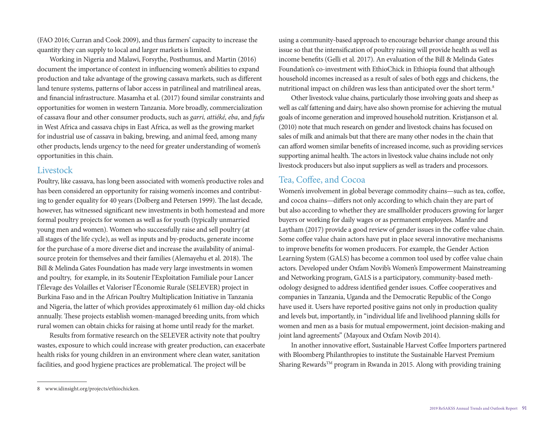(FAO 2016; Curran and Cook 2009), and thus farmers' capacity to increase the quantity they can supply to local and larger markets is limited.

Working in Nigeria and Malawi, Forsythe, Posthumus, and Martin (2016) document the importance of context in infuencing women's abilities to expand production and take advantage of the growing cassava markets, such as diferent land tenure systems, patterns of labor access in patrilineal and matrilineal areas, and fnancial infrastructure. Masamha et al. (2017) found similar constraints and opportunities for women in western Tanzania. More broadly, commercialization of cassava four and other consumer products, such as *garri, attiéké, eba*, and *fufu* in West Africa and cassava chips in East Africa, as well as the growing market for industrial use of cassava in baking, brewing, and animal feed, among many other products, lends urgency to the need for greater understanding of women's opportunities in this chain.

#### **Livestock**

Poultry, like cassava, has long been associated with women's productive roles and has been considered an opportunity for raising women's incomes and contributing to gender equality for 40 years (Dolberg and Petersen 1999). The last decade, however, has witnessed signifcant new investments in both homestead and more formal poultry projects for women as well as for youth (typically unmarried young men and women). Women who successfully raise and sell poultry (at all stages of the life cycle), as well as inputs and by-products, generate income for the purchase of a more diverse diet and increase the availability of animalsource protein for themselves and their families (Alemayehu et al. 2018). The Bill & Melinda Gates Foundation has made very large investments in women and poultry, for example, in its Soutenir l'Exploitation Familiale pour Lancer l'Élevage des Volailles et Valoriser l'Économie Rurale (SELEVER) project in Burkina Faso and in the African Poultry Multiplication Initiative in Tanzania and Nigeria, the latter of which provides approximately 61 million day-old chicks annually. These projects establish women-managed breeding units, from which rural women can obtain chicks for raising at home until ready for the market.

Results from formative research on the SELEVER activity note that poultry wastes, exposure to which could increase with greater production, can exacerbate health risks for young children in an environment where clean water, sanitation facilities, and good hygiene practices are problematical. The project will be

using a community-based approach to encourage behavior change around this issue so that the intensifcation of poultry raising will provide health as well as income benefts (Gelli et al. 2017). An evaluation of the Bill & Melinda Gates Foundation's co-investment with EthioChick in Ethiopia found that although household incomes increased as a result of sales of both eggs and chickens, the nutritional impact on children was less than anticipated over the short term.8

Other livestock value chains, particularly those involving goats and sheep as well as calf fattening and dairy, have also shown promise for achieving the mutual goals of income generation and improved household nutrition. Kristjanson et al. (2010) note that much research on gender and livestock chains has focused on sales of milk and animals but that there are many other nodes in the chain that can afford women similar benefits of increased income, such as providing services supporting animal health. The actors in livestock value chains include not only livestock producers but also input suppliers as well as traders and processors.

#### Tea, Coffee, and Cocoa

Women's involvement in global beverage commodity chains—such as tea, coffee, and cocoa chains—difers not only according to which chain they are part of but also according to whether they are smallholder producers growing for larger buyers or working for daily wages or as permanent employees. Manfre and Laytham (2017) provide a good review of gender issues in the coffee value chain. Some coffee value chain actors have put in place several innovative mechanisms to improve benefts for women producers. For example, the Gender Action Learning System (GALS) has become a common tool used by coffee value chain actors. Developed under Oxfam Novib's Women's Empowerment Mainstreaming and Networking program, GALS is a participatory, community-based methodology designed to address identified gender issues. Coffee cooperatives and companies in Tanzania, Uganda and the Democratic Republic of the Congo have used it. Users have reported positive gains not only in production quality and levels but, importantly, in "individual life and livelihood planning skills for women and men as a basis for mutual empowerment, joint decision-making and joint land agreements" (Mayoux and Oxfam Novib 2014).

In another innovative effort, Sustainable Harvest Coffee Importers partnered with Bloomberg Philanthropies to institute the Sustainable Harvest Premium Sharing Rewards™ program in Rwanda in 2015. Along with providing training

<sup>8</sup> [www.idinsight.org/projects/ethiochicken](http://www.idinsight.org/projects/ethiochicken).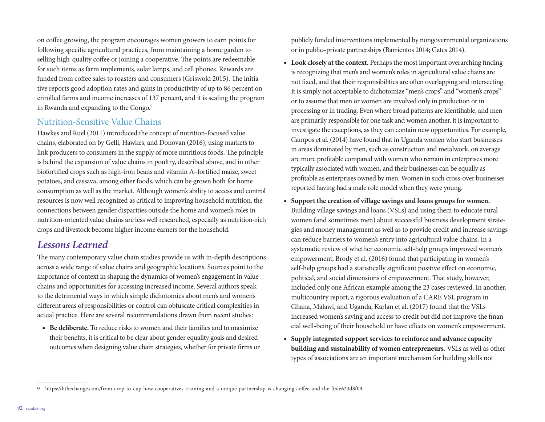on cofee growing, the program encourages women growers to earn points for following specifc agricultural practices, from maintaining a home garden to selling high-quality coffee or joining a cooperative. The points are redeemable for such items as farm implements, solar lamps, and cell phones. Rewards are funded from coffee sales to roasters and consumers (Griswold 2015). The initiative reports good adoption rates and gains in productivity of up to 86 percent on enrolled farms and income increases of 137 percent, and it is scaling the program in Rwanda and expanding to the Congo.<sup>9</sup>

#### Nutrition-Sensitive Value Chains

Hawkes and Ruel (2011) introduced the concept of nutrition-focused value chains, elaborated on by Gelli, Hawkes, and Donovan (2016), using markets to link producers to consumers in the supply of more nutritious foods. The principle is behind the expansion of value chains in poultry, described above, and in other biofortifed crops such as high-iron beans and vitamin A–fortifed maize, sweet potatoes, and cassava, among other foods, which can be grown both for home consumption as well as the market. Although women's ability to access and control resources is now well recognized as critical to improving household nutrition, the connections between gender disparities outside the home and women's roles in nutrition-oriented value chains are less well researched, especially as nutrition-rich crops and livestock become higher income earners for the household.

# *Lessons Learned*

The many contemporary value chain studies provide us with in-depth descriptions across a wide range of value chains and geographic locations. Sources point to the importance of context in shaping the dynamics of women's engagement in value chains and opportunities for accessing increased income. Several authors speak to the detrimental ways in which simple dichotomies about men's and women's diferent areas of responsibilities or control can obfuscate critical complexities in actual practice. Here are several recommendations drawn from recent studies:

**• Be deliberate.** To reduce risks to women and their families and to maximize their benefts, it is critical to be clear about gender equality goals and desired outcomes when designing value chain strategies, whether for private frms or

publicly funded interventions implemented by nongovernmental organizations or in public–private partnerships (Barrientos 2014; Gates 2014).

- **• Look closely at the context.** Perhaps the most important overarching fnding is recognizing that men's and women's roles in agricultural value chains are not fxed, and that their responsibilities are ofen overlapping and intersecting. It is simply not acceptable to dichotomize "men's crops" and "women's crops" or to assume that men or women are involved only in production or in processing or in trading. Even where broad patterns are identifable, and men are primarily responsible for one task and women another, it is important to investigate the exceptions, as they can contain new opportunities. For example, Campos et al. (2014) have found that in Uganda women who start businesses in areas dominated by men, such as construction and metalwork, on average are more proftable compared with women who remain in enterprises more typically associated with women, and their businesses can be equally as proftable as enterprises owned by men. Women in such cross-over businesses reported having had a male role model when they were young.
- **• Support the creation of village savings and loans groups for women.**  Building village savings and loans (VSLs) and using them to educate rural women (and sometimes men) about successful business development strategies and money management as well as to provide credit and increase savings can reduce barriers to women's entry into agricultural value chains. In a systematic review of whether economic self-help groups improved women's empowerment, Brody et al. (2016) found that participating in women's self-help groups had a statistically signifcant positive efect on economic, political, and social dimensions of empowerment. That study, however, included only one African example among the 23 cases reviewed. In another, multicountry report, a rigorous evaluation of a CARE VSL program in Ghana, Malawi, and Uganda, Karlan et al. (2017) found that the VSLs increased women's saving and access to credit but did not improve the fnancial well-being of their household or have efects on women's empowerment.
- **• Supply integrated support services to reinforce and advance capacity building and sustainability of women entrepreneurs.** VSLs as well as other types of associations are an important mechanism for building skills not

<sup>9</sup> [https://bthechange.com/from-crop-to-cup-how-cooperatives-training-and-a-unique-partnership-is-changing-co](https://bthechange.com/from-crop-to-cup-how-cooperatives-training-and-a-unique-partnership-is-changing-coffee-and-the-f0de623d8f09)fee-and-the-f0de623d8f09.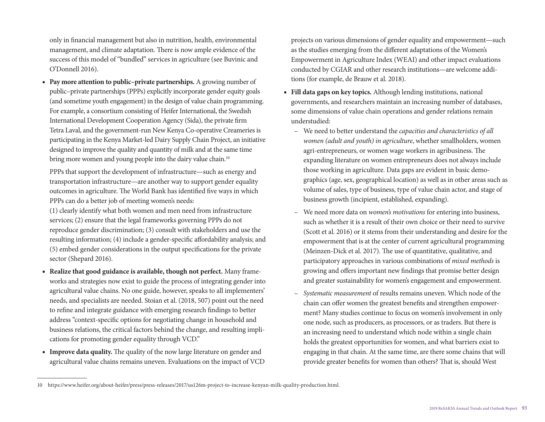only in fnancial management but also in nutrition, health, environmental management, and climate adaptation. There is now ample evidence of the success of this model of "bundled" services in agriculture (see Buvinic and O'Donnell 2016).

**• Pay more attention to public–private partnerships.** A growing number of public–private partnerships (PPPs) explicitly incorporate gender equity goals (and sometime youth engagement) in the design of value chain programming. For example, a consortium consisting of Heifer International, the Swedish International Development Cooperation Agency (Sida), the private frm Tetra Laval, and the government-run New Kenya Co-operative Creameries is participating in the Kenya Market-led Dairy Supply Chain Project, an initiative designed to improve the quality and quantity of milk and at the same time bring more women and young people into the dairy value chain.<sup>10</sup>

PPPs that support the development of infrastructure—such as energy and transportation infrastructure—are another way to support gender equality outcomes in agriculture. The World Bank has identified five ways in which PPPs can do a better job of meeting women's needs:

(1) clearly identify what both women and men need from infrastructure services; (2) ensure that the legal frameworks governing PPPs do not reproduce gender discrimination; (3) consult with stakeholders and use the resulting information; (4) include a gender-specific affordability analysis; and (5) embed gender considerations in the output specifcations for the private sector (Shepard 2016).

- **• Realize that good guidance is available, though not perfect.** Many frameworks and strategies now exist to guide the process of integrating gender into agricultural value chains. No one guide, however, speaks to all implementers' needs, and specialists are needed. Stoian et al. (2018, 507) point out the need to refne and integrate guidance with emerging research fndings to better address "context-specifc options for negotiating change in household and business relations, the critical factors behind the change, and resulting implications for promoting gender equality through VCD."
- **Improve data quality.** The quality of the now large literature on gender and agricultural value chains remains uneven. Evaluations on the impact of VCD

projects on various dimensions of gender equality and empowerment—such as the studies emerging from the diferent adaptations of the Women's Empowerment in Agriculture Index (WEAI) and other impact evaluations conducted by CGIAR and other research institutions—are welcome additions (for example, de Brauw et al. 2018).

- **• Fill data gaps on key topics.** Although lending institutions, national governments, and researchers maintain an increasing number of databases, some dimensions of value chain operations and gender relations remain understudied:
	- We need to better understand the *capacities and characteristics of all women (adult and youth) in agriculture*, whether smallholders, women agri-entrepreneurs, or women wage workers in agribusiness. The expanding literature on women entrepreneurs does not always include those working in agriculture. Data gaps are evident in basic demographics (age, sex, geographical location) as well as in other areas such as volume of sales, type of business, type of value chain actor, and stage of business growth (incipient, established, expanding).
	- We need more data on *women's motivations* for entering into business, such as whether it is a result of their own choice or their need to survive (Scott et al. 2016) or it stems from their understanding and desire for the empowerment that is at the center of current agricultural programming (Meinzen-Dick et al. 2017). The use of quantitative, qualitative, and participatory approaches in various combinations of *mixed methods* is growing and ofers important new fndings that promise better design and greater sustainability for women's engagement and empowerment.
	- *Systematic measurement* of results remains uneven. Which node of the chain can offer women the greatest benefits and strengthen empowerment? Many studies continue to focus on women's involvement in only one node, such as producers, as processors, or as traders. But there is an increasing need to understand which node within a single chain holds the greatest opportunities for women, and what barriers exist to engaging in that chain. At the same time, are there some chains that will provide greater benefits for women than others? That is, should West

<sup>10</sup> <https://www.heifer.org/about-heifer/press/press-releases/2017/us126m-project-to-increase-kenyan-milk-quality-production.html>.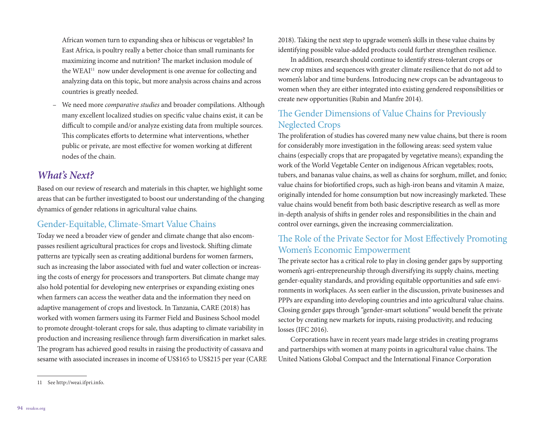African women turn to expanding shea or hibiscus or vegetables? In East Africa, is poultry really a better choice than small ruminants for maximizing income and nutrition? The market inclusion module of the WEAI<sup>11</sup> now under development is one avenue for collecting and analyzing data on this topic, but more analysis across chains and across countries is greatly needed.

– We need more *comparative studies* and broader compilations. Although many excellent localized studies on specifc value chains exist, it can be difficult to compile and/or analyze existing data from multiple sources. This complicates efforts to determine what interventions, whether public or private, are most efective for women working at diferent nodes of the chain.

# *What's Next?*

Based on our review of research and materials in this chapter, we highlight some areas that can be further investigated to boost our understanding of the changing dynamics of gender relations in agricultural value chains.

#### Gender-Equitable, Climate-Smart Value Chains

Today we need a broader view of gender and climate change that also encompasses resilient agricultural practices for crops and livestock. Shifing climate patterns are typically seen as creating additional burdens for women farmers, such as increasing the labor associated with fuel and water collection or increasing the costs of energy for processors and transporters. But climate change may also hold potential for developing new enterprises or expanding existing ones when farmers can access the weather data and the information they need on adaptive management of crops and livestock. In Tanzania, CARE (2018) has worked with women farmers using its Farmer Field and Business School model to promote drought-tolerant crops for sale, thus adapting to climate variability in production and increasing resilience through farm diversifcation in market sales. The program has achieved good results in raising the productivity of cassava and sesame with associated increases in income of US\$165 to US\$215 per year (CARE 2018). Taking the next step to upgrade women's skills in these value chains by identifying possible value-added products could further strengthen resilience.

In addition, research should continue to identify stress-tolerant crops or new crop mixes and sequences with greater climate resilience that do not add to women's labor and time burdens. Introducing new crops can be advantageous to women when they are either integrated into existing gendered responsibilities or create new opportunities (Rubin and Manfre 2014).

#### The Gender Dimensions of Value Chains for Previously Neglected Crops

The proliferation of studies has covered many new value chains, but there is room for considerably more investigation in the following areas: seed system value chains (especially crops that are propagated by vegetative means); expanding the work of the World Vegetable Center on indigenous African vegetables; roots, tubers, and bananas value chains, as well as chains for sorghum, millet, and fonio; value chains for biofortifed crops, such as high-iron beans and vitamin A maize, originally intended for home consumption but now increasingly marketed. These value chains would beneft from both basic descriptive research as well as more in-depth analysis of shifs in gender roles and responsibilities in the chain and control over earnings, given the increasing commercialization.

#### The Role of the Private Sector for Most Effectively Promoting Women's Economic Empowerment

The private sector has a critical role to play in closing gender gaps by supporting women's agri-entrepreneurship through diversifying its supply chains, meeting gender-equality standards, and providing equitable opportunities and safe environments in workplaces. As seen earlier in the discussion, private businesses and PPPs are expanding into developing countries and into agricultural value chains. Closing gender gaps through "gender-smart solutions" would beneft the private sector by creating new markets for inputs, raising productivity, and reducing losses (IFC 2016).

Corporations have in recent years made large strides in creating programs and partnerships with women at many points in agricultural value chains. The United Nations Global Compact and the International Finance Corporation

<sup>11</sup> See [http://weai.ifpri.info.](http://weai.ifpri.info)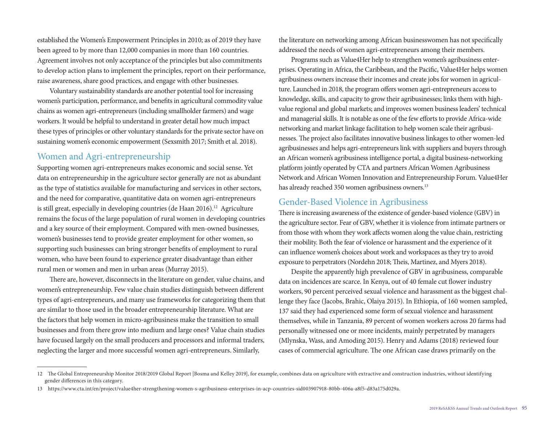established the Women's Empowerment Principles in 2010; as of 2019 they have been agreed to by more than 12,000 companies in more than 160 countries. Agreement involves not only acceptance of the principles but also commitments to develop action plans to implement the principles, report on their performance, raise awareness, share good practices, and engage with other businesses.

Voluntary sustainability standards are another potential tool for increasing women's participation, performance, and benefts in agricultural commodity value chains as women agri-entrepreneurs (including smallholder farmers) and wage workers. It would be helpful to understand in greater detail how much impact these types of principles or other voluntary standards for the private sector have on sustaining women's economic empowerment (Sexsmith 2017; Smith et al. 2018).

#### Women and Agri-entrepreneurship

Supporting women agri-entrepreneurs makes economic and social sense. Yet data on entrepreneurship in the agriculture sector generally are not as abundant as the type of statistics available for manufacturing and services in other sectors, and the need for comparative, quantitative data on women agri-entrepreneurs is still great, especially in developing countries (de Haan 2016).<sup>12</sup> Agriculture remains the focus of the large population of rural women in developing countries and a key source of their employment. Compared with men-owned businesses, women's businesses tend to provide greater employment for other women, so supporting such businesses can bring stronger benefts of employment to rural women, who have been found to experience greater disadvantage than either rural men or women and men in urban areas (Murray 2015).

There are, however, disconnects in the literature on gender, value chains, and women's entrepreneurship. Few value chain studies distinguish between diferent types of agri-entrepreneurs, and many use frameworks for categorizing them that are similar to those used in the broader entrepreneurship literature. What are the factors that help women in micro-agribusiness make the transition to small businesses and from there grow into medium and large ones? Value chain studies have focused largely on the small producers and processors and informal traders, neglecting the larger and more successful women agri-entrepreneurs. Similarly,

the literature on networking among African businesswomen has not specifcally addressed the needs of women agri-entrepreneurs among their members.

Programs such as Value4Her help to strengthen women's agribusiness enterprises. Operating in Africa, the Caribbean, and the Pacifc, Value4Her helps women agribusiness owners increase their incomes and create jobs for women in agriculture. Launched in 2018, the program offers women agri-entrepreneurs access to knowledge, skills, and capacity to grow their agribusinesses; links them with highvalue regional and global markets; and improves women business leaders' technical and managerial skills. It is notable as one of the few efforts to provide Africa-wide networking and market linkage facilitation to help women scale their agribusinesses. The project also facilitates innovative business linkages to other women-led agribusinesses and helps agri-entrepreneurs link with suppliers and buyers through an African women's agribusiness intelligence portal, a digital business-networking platform jointly operated by CTA and partners African Women Agribusiness Network and African Women Innovation and Entrepreneurship Forum. Value4Her has already reached 350 women agribusiness owners.<sup>13</sup>

#### Gender-Based Violence in Agribusiness

There is increasing awareness of the existence of gender-based violence (GBV) in the agriculture sector. Fear of GBV, whether it is violence from intimate partners or from those with whom they work afects women along the value chain, restricting their mobility. Both the fear of violence or harassment and the experience of it can infuence women's choices about work and workspaces as they try to avoid exposure to perpetrators (Nordehn 2018; Theis, Martinez, and Myers 2018).

Despite the apparently high prevalence of GBV in agribusiness, comparable data on incidences are scarce. In Kenya, out of 40 female cut flower industry workers, 90 percent perceived sexual violence and harassment as the biggest challenge they face (Jacobs, Brahic, Olaiya 2015). In Ethiopia, of 160 women sampled, 137 said they had experienced some form of sexual violence and harassment themselves, while in Tanzania, 89 percent of women workers across 20 farms had personally witnessed one or more incidents, mainly perpetrated by managers (Mlynska, Wass, and Amoding 2015). Henry and Adams (2018) reviewed four cases of commercial agriculture. The one African case draws primarily on the

<sup>12</sup> The Global Entrepreneurship Monitor 2018/2019 Global Report [Bosma and Kelley 2019], for example, combines data on agriculture with extractive and construction industries, without identifying gender diferences in this category.

<sup>13</sup> [https://www.cta.int/en/project/value4her-strengthening-women-s-agribusiness-enterprises-in-acp-countries-sid003907918-80bb-406a-a8f5-d83a175d029a.](https://www.cta.int/en/project/value4her-strengthening-women-s-agribusiness-enterprises-in-acp-countries-sid003907918-80bb-406a-a8f5-d83a175d029a)